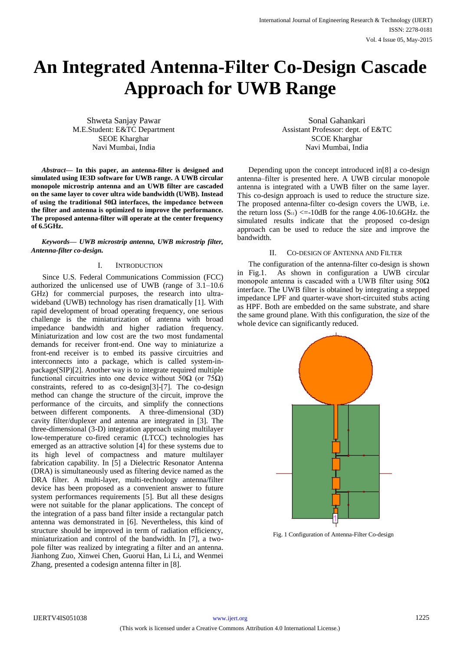# **An Integrated Antenna-Filter Co-Design Cascade Approach for UWB Range**

Shweta Sanjay Pawar M.E.Student: E&TC Department SEOE Kharghar Navi Mumbai, India

*Abstract***— In this paper, an antenna-filter is designed and simulated using IE3D software for UWB range. A UWB circular monopole microstrip antenna and an UWB filter are cascaded on the same layer to cover ultra wide bandwidth (UWB). Instead of using the traditional 50Ω interfaces, the impedance between the filter and antenna is optimized to improve the performance. The proposed antenna-filter will operate at the center frequency of 6.5GHz.**

*Keywords— UWB microstrip antenna, UWB microstrip filter, Antenna-filter co-design.*

#### I. INTRODUCTION

Since U.S. Federal Communications Commission (FCC) authorized the unlicensed use of UWB (range of 3.1–10.6 GHz) for commercial purposes, the research into ultrawideband (UWB) technology has risen dramatically [1]. With rapid development of broad operating frequency, one serious challenge is the miniaturization of antenna with broad impedance bandwidth and higher radiation frequency. Miniaturization and low cost are the two most fundamental demands for receiver front-end. One way to miniaturize a front-end receiver is to embed its passive circuitries and interconnects into a package, which is called system-inpackage(SIP)[2]. Another way is to integrate required multiple functional circuitries into one device without 50 $\Omega$  (or 75 $\Omega$ ) constraints, refered to as co-design[3]-[7]. The co-design method can change the structure of the circuit, improve the performance of the circuits, and simplify the connections between different components. A three-dimensional (3D) cavity filter/duplexer and antenna are integrated in [3]. The three-dimensional (3-D) integration approach using multilayer low-temperature co-fired ceramic (LTCC) technologies has emerged as an attractive solution [4] for these systems due to its high level of compactness and mature multilayer fabrication capability. In [5] a Dielectric Resonator Antenna (DRA) is simultaneously used as filtering device named as the DRA filter. A multi-layer, multi-technology antenna/filter device has been proposed as a convenient answer to future system performances requirements [5]. But all these designs were not suitable for the planar applications. The concept of the integration of a pass band filter inside a rectangular patch antenna was demonstrated in [6]. Nevertheless, this kind of structure should be improved in term of radiation efficiency, miniaturization and control of the bandwidth. In [7], a twopole filter was realized by integrating a filter and an antenna. Jianhong Zuo, Xinwei Chen, Guorui Han, Li Li, and Wenmei Zhang*,* presented a codesign antenna filter in [8].

Sonal Gahankari Assistant Professor: dept. of E&TC SCOE Kharghar Navi Mumbai, India

Depending upon the concept introduced in[8] a co-design antenna–filter is presented here. A UWB circular monopole antenna is integrated with a UWB filter on the same layer. This co-design approach is used to reduce the structure size. The proposed antenna-filter co-design covers the UWB, i.e. the return loss  $(S_{11}) \le -10$ dB for the range 4.06-10.6GHz. the simulated results indicate that the proposed co-design approach can be used to reduce the size and improve the bandwidth.

### II. CO-DESIGN OF ANTENNA AND FILTER

The configuration of the antenna-filter co-design is shown in Fig.1. As shown in configuration a UWB circular monopole antenna is cascaded with a UWB filter using  $50\Omega$ interface. The UWB filter is obtained by integrating a stepped impedance LPF and quarter-wave short-circuited stubs acting as HPF. Both are embedded on the same substrate, and share the same ground plane. With this configuration, the size of the whole device can significantly reduced.



Fig. 1 Configuration of Antenna-Filter Co-design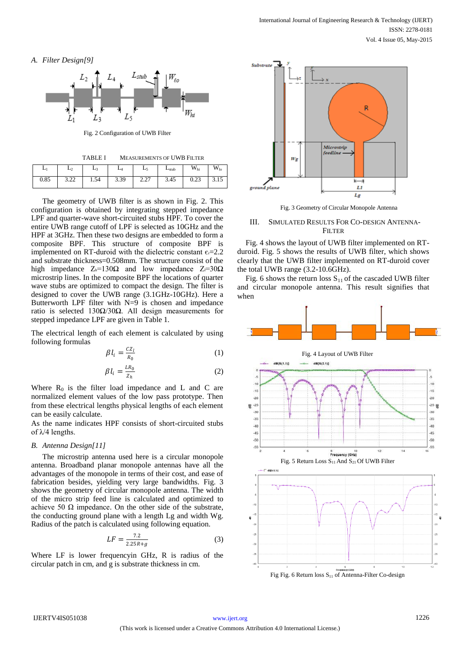



Fig. 2 Configuration of UWB Filter

TABLE I MEASUREMENTS OF UWB FILTER

|      | $-2$          | Lz   | L4   | L5               | $L_{\text{stab}}$ | $W_{hi}$     | <b>III</b><br>$\mathbf{w}_{\text{lo}}$ |
|------|---------------|------|------|------------------|-------------------|--------------|----------------------------------------|
| 0.85 | 2.22<br>ے ے ت | 1.54 | 3.39 | $\Omega$<br>4.41 | 3.45              | 0.22<br>U.ZJ | <b>J.IJ</b>                            |

The geometry of UWB filter is as shown in Fig. 2. This configuration is obtained by integrating stepped impedance LPF and quarter-wave short-circuited stubs HPF. To cover the entire UWB range cutoff of LPF is selected as 10GHz and the HPF at 3GHz. Then these two designs are embedded to form a composite BPF. This structure of composite BPF is implemented on RT-duroid with the dielectric constant  $\varepsilon$ =2.2 and substrate thickness=0.508mm. The structure consist of the high impedance  $Z_h=130\Omega$  and low impedance  $Z_l=30\Omega$ microstrip lines. In the composite BPF the locations of quarter wave stubs are optimized to compact the design. The filter is designed to cover the UWB range (3.1GHz-10GHz). Here a Butterworth LPF filter with N=9 is chosen and impedance ratio is selected 130Ω/30Ω. All design measurements for stepped impedance LPF are given in Table 1.

The electrical length of each element is calculated by using following formulas

$$
\beta l_i = \frac{cz_l}{R_0} \tag{1}
$$

$$
\beta l_i = \frac{LR_0}{z_h} \tag{2}
$$

Where  $R_0$  is the filter load impedance and L and C are normalized element values of the low pass prototype. Then from these electrical lengths physical lengths of each element can be easily calculate.

As the name indicates HPF consists of short-circuited stubs of λ/4 lengths.

## *B. Antenna Design[11]*

The microstrip antenna used here is a circular monopole antenna. Broadband planar monopole antennas have all the advantages of the monopole in terms of their cost, and ease of fabrication besides, yielding very large bandwidths. Fig. 3 shows the geometry of circular monopole antenna. The width of the micro strip feed line is calculated and optimized to achieve 50  $\Omega$  impedance. On the other side of the substrate, the conducting ground plane with a length Lg and width Wg. Radius of the patch is calculated using following equation.

$$
LF = \frac{7.2}{2.25R + g}
$$
 (3)

Where LF is lower frequencyin GHz, R is radius of the circular patch in cm, and g is substrate thickness in cm.



Fig. 3 Geometry of Circular Monopole Antenna

## III. SIMULATED RESULTS FOR CO-DESIGN ANTENNA-**FILTER**

Fig. 4 shows the layout of UWB filter implemented on RTduroid. Fig. 5 shows the results of UWB filter, which shows clearly that the UWB filter implemented on RT-duroid cover the total UWB range (3.2-10.6GHz).

Fig. 6 shows the return loss  $S_{11}$  of the cascaded UWB filter and circular monopole antenna. This result signifies that when